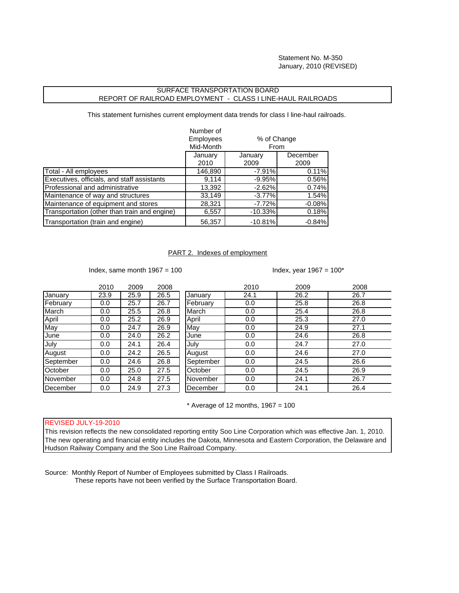Statement No. M-350 January, 2010 (REVISED)

## SURFACE TRANSPORTATION BOARD REPORT OF RAILROAD EMPLOYMENT - CLASS I LINE-HAUL RAILROADS

This statement furnishes current employment data trends for class I line-haul railroads.

|                                              | Number of<br><b>Employees</b><br>Mid-Month | % of Change<br><b>From</b> |          |
|----------------------------------------------|--------------------------------------------|----------------------------|----------|
|                                              | January                                    | January                    | December |
|                                              | 2010                                       | 2009                       | 2009     |
| Total - All employees                        | 146,890                                    | $-7.91%$                   | 0.11%    |
| Executives, officials, and staff assistants  | 9,114                                      | $-9.95%$                   | 0.56%    |
| Professional and administrative              | 13,392                                     | $-2.62%$                   | 0.74%    |
| Maintenance of way and structures            | 33,149                                     | $-3.77%$                   | 1.54%    |
| Maintenance of equipment and stores          | 28,321                                     | $-7.72%$                   | $-0.08%$ |
| Transportation (other than train and engine) | 6,557                                      | $-10.33%$                  | 0.18%    |
| Transportation (train and engine)            | 56,357                                     | $-10.81%$                  | $-0.84%$ |

## PART 2. Indexes of employment

Index, same month  $1967 = 100$  Index, year  $1967 = 100^*$ 

|           | 2010 | 2009 | 2008 |           | 2010 | 2009 | 2008 |
|-----------|------|------|------|-----------|------|------|------|
| January   | 23.9 | 25.9 | 26.5 | January   | 24.1 | 26.2 | 26.7 |
| February  | 0.0  | 25.7 | 26.7 | February  | 0.0  | 25.8 | 26.8 |
| March     | 0.0  | 25.5 | 26.8 | March     | 0.0  | 25.4 | 26.8 |
| April     | 0.0  | 25.2 | 26.9 | April     | 0.0  | 25.3 | 27.0 |
| May       | 0.0  | 24.7 | 26.9 | May       | 0.0  | 24.9 | 27.1 |
| June      | 0.0  | 24.0 | 26.2 | June      | 0.0  | 24.6 | 26.8 |
| July      | 0.0  | 24.1 | 26.4 | July      | 0.0  | 24.7 | 27.0 |
| August    | 0.0  | 24.2 | 26.5 | August    | 0.0  | 24.6 | 27.0 |
| September | 0.0  | 24.6 | 26.8 | September | 0.0  | 24.5 | 26.6 |
| October   | 0.0  | 25.0 | 27.5 | October   | 0.0  | 24.5 | 26.9 |
| November  | 0.0  | 24.8 | 27.5 | November  | 0.0  | 24.1 | 26.7 |
| December  | 0.0  | 24.9 | 27.3 | December  | 0.0  | 24.1 | 26.4 |

 $*$  Average of 12 months, 1967 = 100

## REVISED JULY-19-2010

This revision reflects the new consolidated reporting entity Soo Line Corporation which was effective Jan. 1, 2010. The new operating and financial entity includes the Dakota, Minnesota and Eastern Corporation, the Delaware and Hudson Railway Company and the Soo Line Railroad Company.

Source: Monthly Report of Number of Employees submitted by Class I Railroads. These reports have not been verified by the Surface Transportation Board.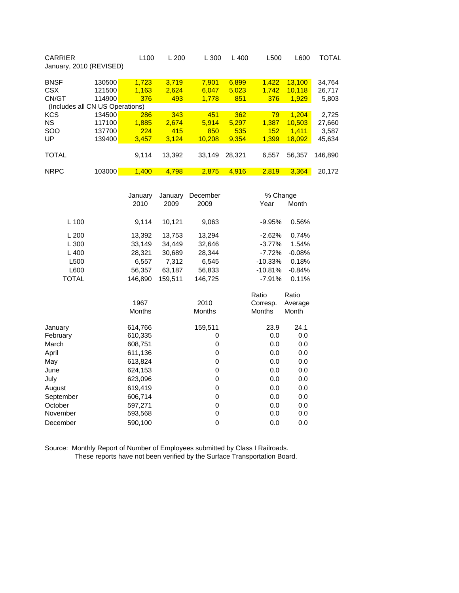| <b>CARRIER</b><br>January, 2010 (REVISED) |                                 | L <sub>100</sub> | L200   | L300   | L 400  | L500  | L600   | TOTAL   |
|-------------------------------------------|---------------------------------|------------------|--------|--------|--------|-------|--------|---------|
| <b>BNSF</b>                               | 130500                          | 1.723            | 3.719  | 7.901  | 6,899  | 1.422 | 13.100 | 34,764  |
| <b>CSX</b>                                | 121500                          | 1.163            | 2.624  | 6.047  | 5,023  | 1.742 | 10.118 | 26,717  |
| CN/GT                                     | 114900                          | 376              | 493    | 1,778  | 851    | 376   | 1,929  | 5,803   |
|                                           | (Includes all CN US Operations) |                  |        |        |        |       |        |         |
| <b>KCS</b>                                | 134500                          | 286              | 343    | 451    | 362    | 79    | 1.204  | 2.725   |
| <b>NS</b>                                 | 117100                          | 1.885            | 2.674  | 5.914  | 5.297  | 1.387 | 10.503 | 27,660  |
| <b>SOO</b>                                | 137700                          | 224              | 415    | 850    | 535    | 152   | 1.411  | 3,587   |
| UP                                        | 139400                          | 3,457            | 3.124  | 10.208 | 9.354  | 1.399 | 18.092 | 45,634  |
|                                           |                                 |                  |        |        |        |       |        |         |
| <b>TOTAL</b>                              |                                 | 9.114            | 13.392 | 33.149 | 28.321 | 6.557 | 56.357 | 146.890 |
|                                           |                                 |                  |        |        |        |       |        |         |
| <b>NRPC</b>                               | 103000                          | 1.400            | 4.798  | 2.875  | 4.916  | 2.819 | 3.364  | 20.172  |

|              | January       | January |               |               | % Change |  |  |
|--------------|---------------|---------|---------------|---------------|----------|--|--|
|              | 2010          | 2009    | 2009          | Year          | Month    |  |  |
| L 100        | 9,114         | 10,121  | 9,063         | $-9.95%$      | 0.56%    |  |  |
|              |               |         |               |               |          |  |  |
| L200         | 13,392        | 13,753  | 13,294        | $-2.62%$      | 0.74%    |  |  |
| L300         | 33,149        | 34,449  | 32,646        | $-3.77%$      | 1.54%    |  |  |
| L400         | 28,321        | 30,689  | 28,344        | $-7.72%$      | $-0.08%$ |  |  |
| L500         | 6,557         | 7,312   | 6,545         | $-10.33%$     | 0.18%    |  |  |
| L600         | 56,357        | 63,187  | 56,833        | $-10.81%$     | $-0.84%$ |  |  |
| <b>TOTAL</b> | 146,890       | 159,511 | 146,725       | $-7.91%$      | 0.11%    |  |  |
|              |               |         |               | Ratio         | Ratio    |  |  |
|              | 1967          |         | 2010          | Corresp.      | Average  |  |  |
|              | <b>Months</b> |         | <b>Months</b> | <b>Months</b> | Month    |  |  |
| January      | 614,766       |         | 159,511       | 23.9          | 24.1     |  |  |
| February     | 610,335       |         | 0             | 0.0           | 0.0      |  |  |
| March        | 608,751       |         | 0             | 0.0           | 0.0      |  |  |
| April        | 611,136       |         | 0             | 0.0           | 0.0      |  |  |
| May          | 613,824       |         | 0             | 0.0           | 0.0      |  |  |
| June         | 624,153       |         | 0             | 0.0           | 0.0      |  |  |
| July         | 623,096       |         | 0             | 0.0           | 0.0      |  |  |
| August       | 619,419       |         | 0             | 0.0           | 0.0      |  |  |
| September    | 606,714       |         | 0             | 0.0           | 0.0      |  |  |
| October      | 597,271       |         | 0             | 0.0           | 0.0      |  |  |
| November     | 593,568       |         | 0             | 0.0           | 0.0      |  |  |
| December     | 590,100       |         | 0             | 0.0           | 0.0      |  |  |
|              |               |         |               |               |          |  |  |

Source: Monthly Report of Number of Employees submitted by Class I Railroads. These reports have not been verified by the Surface Transportation Board.